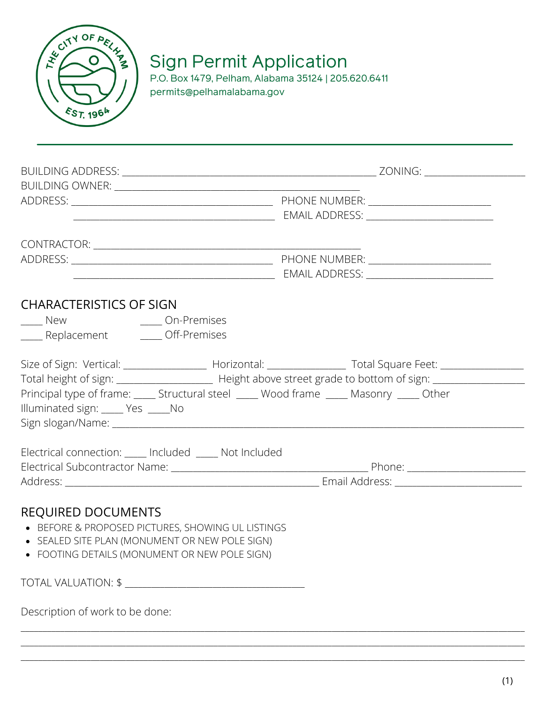

## Sign Permit Application

P.O. Box 1479, Pelham, Alabama 35124 | 205.620.6411 permits@pelhamalabama.gov

| <b>CHARACTERISTICS OF SIGN</b><br>_____ New _____ __ _____ On-Premises<br>_____ Replacement ______ Off-Premises                                                                                                                                                                                                                                                        |  |
|------------------------------------------------------------------------------------------------------------------------------------------------------------------------------------------------------------------------------------------------------------------------------------------------------------------------------------------------------------------------|--|
| Size of Sign: Vertical: ____________________ Horizontal: ___________________ Total Square Feet: ______________<br>Total height of sign: __________________________ Height above street grade to bottom of sign: ________________<br>Principal type of frame: _____ Structural steel _____ Wood frame _____ Masonry _____ Other<br>Illuminated sign: _____ Yes _____ No |  |
| Electrical connection: _____ Included _____ Not Included                                                                                                                                                                                                                                                                                                               |  |
|                                                                                                                                                                                                                                                                                                                                                                        |  |
| <b>REQUIRED DOCUMENTS</b><br>• BEFORE & PROPOSED PICTURES, SHOWING UL LISTINGS<br>• SEALED SITE PLAN (MONUMENT OR NEW POLE SIGN)<br>• FOOTING DETAILS (MONUMENT OR NEW POLE SIGN)                                                                                                                                                                                      |  |
|                                                                                                                                                                                                                                                                                                                                                                        |  |
| Description of work to be done:                                                                                                                                                                                                                                                                                                                                        |  |

\_\_\_\_\_\_\_\_\_\_\_\_\_\_\_\_\_\_\_\_\_\_\_\_\_\_\_\_\_\_\_\_\_\_\_\_\_\_\_\_\_\_\_\_\_\_\_\_\_\_\_\_\_\_\_\_\_\_\_\_\_\_\_\_\_\_\_\_\_\_\_\_\_\_\_\_\_\_\_\_\_\_\_\_\_\_\_\_\_\_\_\_\_\_\_\_\_\_\_\_\_\_\_\_\_\_\_\_\_\_\_\_\_\_\_ \_\_\_\_\_\_\_\_\_\_\_\_\_\_\_\_\_\_\_\_\_\_\_\_\_\_\_\_\_\_\_\_\_\_\_\_\_\_\_\_\_\_\_\_\_\_\_\_\_\_\_\_\_\_\_\_\_\_\_\_\_\_\_\_\_\_\_\_\_\_\_\_\_\_\_\_\_\_\_\_\_\_\_\_\_\_\_\_\_\_\_\_\_\_\_\_\_\_\_\_\_\_\_\_\_\_\_\_\_\_\_\_\_\_\_